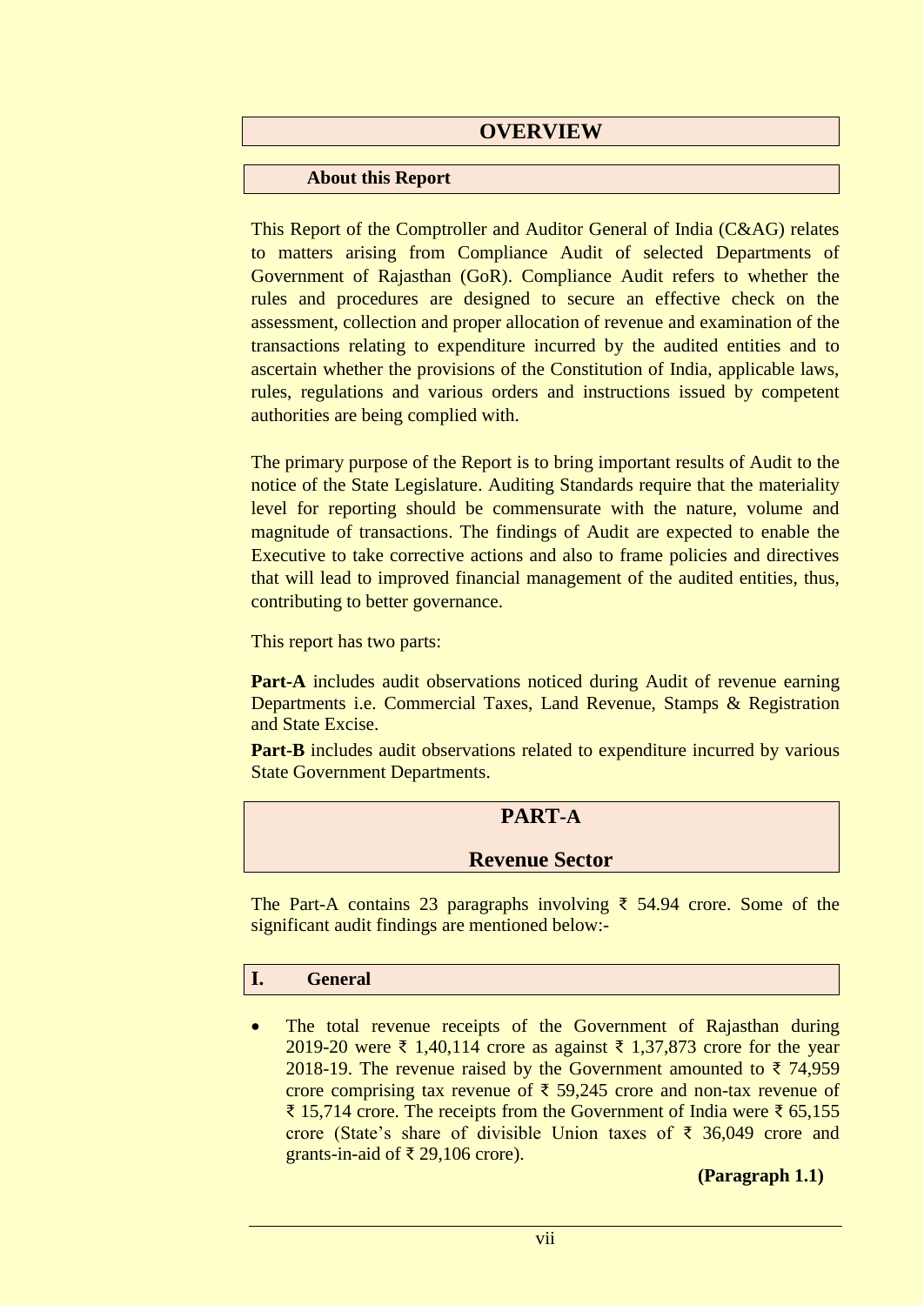# **OVERVIEW**

#### **About this Report**

This Report of the Comptroller and Auditor General of India (C&AG) relates to matters arising from Compliance Audit of selected Departments of Government of Rajasthan (GoR). Compliance Audit refers to whether the rules and procedures are designed to secure an effective check on the assessment, collection and proper allocation of revenue and examination of the transactions relating to expenditure incurred by the audited entities and to ascertain whether the provisions of the Constitution of India, applicable laws, rules, regulations and various orders and instructions issued by competent authorities are being complied with.

The primary purpose of the Report is to bring important results of Audit to the notice of the State Legislature. Auditing Standards require that the materiality level for reporting should be commensurate with the nature, volume and magnitude of transactions. The findings of Audit are expected to enable the Executive to take corrective actions and also to frame policies and directives that will lead to improved financial management of the audited entities, thus, contributing to better governance.

This report has two parts:

**Part-A** includes audit observations noticed during Audit of revenue earning Departments i.e. Commercial Taxes, Land Revenue, Stamps & Registration and State Excise.

Part-B includes audit observations related to expenditure incurred by various State Government Departments.

### **PART-A**

### **Revenue Sector**

The Part-A contains 23 paragraphs involving ₹ 54.94 crore. Some of the significant audit findings are mentioned below:-

#### **I. General**

• The total revenue receipts of the Government of Rajasthan during 2019-20 were ₹ 1,40,114 crore as against ₹ 1,37,873 crore for the year 2018-19. The revenue raised by the Government amounted to ₹74,959 crore comprising tax revenue of  $\bar{\tau}$  59,245 crore and non-tax revenue of ₹ 15,714 crore. The receipts from the Government of India were ₹ 65,155 crore (State's share of divisible Union taxes of ₹ 36,049 crore and grants-in-aid of ₹ 29,106 crore).

**(Paragraph 1.1)**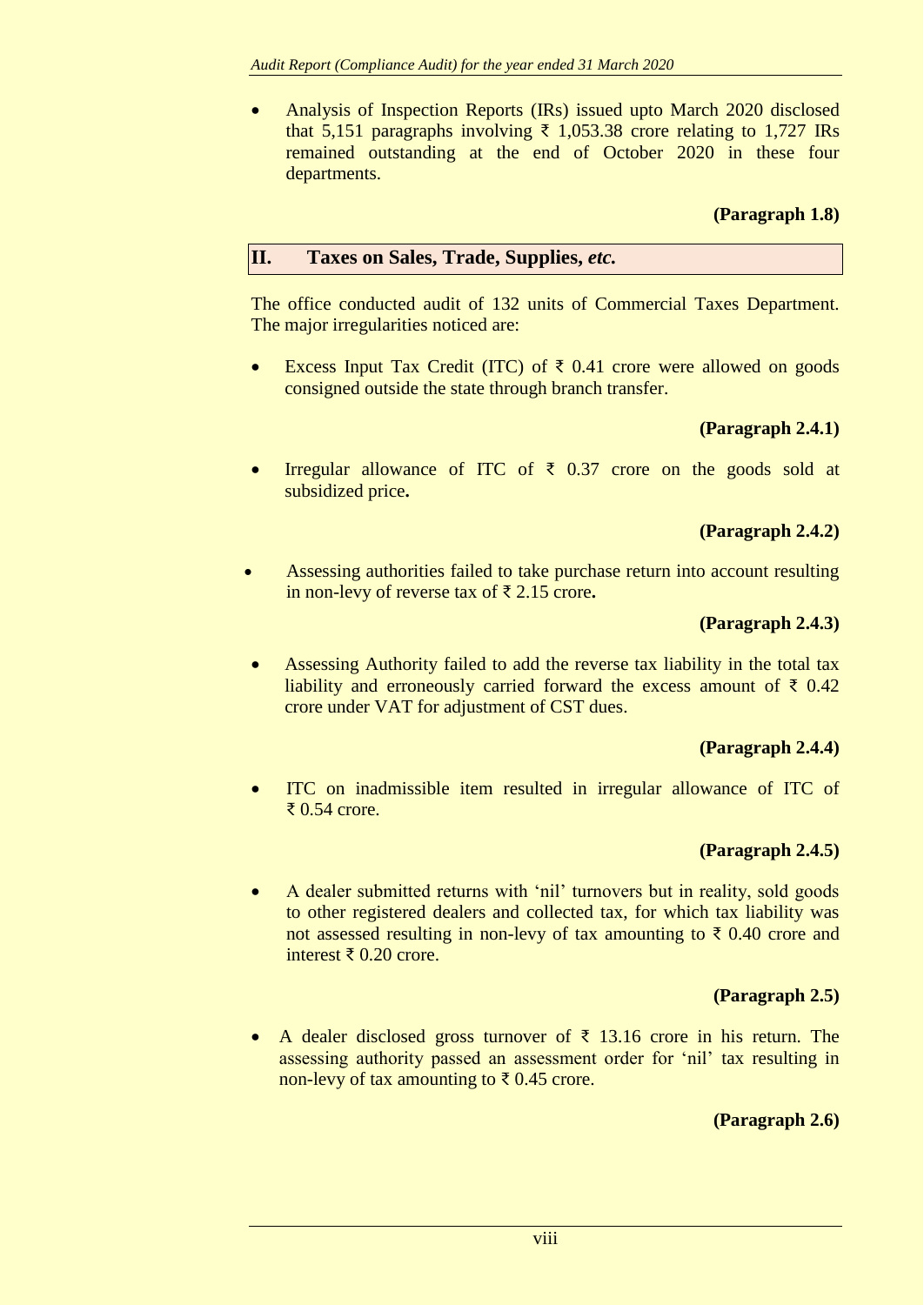Analysis of Inspection Reports (IRs) issued upto March 2020 disclosed that 5,151 paragraphs involving ₹ 1,053.38 crore relating to 1,727 IRs remained outstanding at the end of October 2020 in these four departments.

### **(Paragraph 1.8)**

#### **II. Taxes on Sales, Trade, Supplies,** *etc.*

The office conducted audit of 132 units of Commercial Taxes Department. The major irregularities noticed are:

Excess Input Tax Credit (ITC) of  $\bar{\tau}$  0.41 crore were allowed on goods consigned outside the state through branch transfer.

### **(Paragraph 2.4.1)**

Irregular allowance of ITC of  $\bar{\tau}$  0.37 crore on the goods sold at subsidized price**.**

### **(Paragraph 2.4.2)**

 Assessing authorities failed to take purchase return into account resulting in non-levy of reverse tax of ₹ 2.15 crore**.**

#### **(Paragraph 2.4.3)**

 Assessing Authority failed to add the reverse tax liability in the total tax liability and erroneously carried forward the excess amount of  $\bar{\tau}$  0.42 crore under VAT for adjustment of CST dues.

#### **(Paragraph 2.4.4)**

 ITC on inadmissible item resulted in irregular allowance of ITC of ₹ 0.54 crore.

#### **(Paragraph 2.4.5)**

 A dealer submitted returns with 'nil' turnovers but in reality, sold goods to other registered dealers and collected tax, for which tax liability was not assessed resulting in non-levy of tax amounting to  $\bar{\tau}$  0.40 crore and interest ₹ 0.20 crore.

#### **(Paragraph 2.5)**

A dealer disclosed gross turnover of  $\bar{\tau}$  13.16 crore in his return. The assessing authority passed an assessment order for 'nil' tax resulting in non-levy of tax amounting to ₹0.45 crore.

### **(Paragraph 2.6)**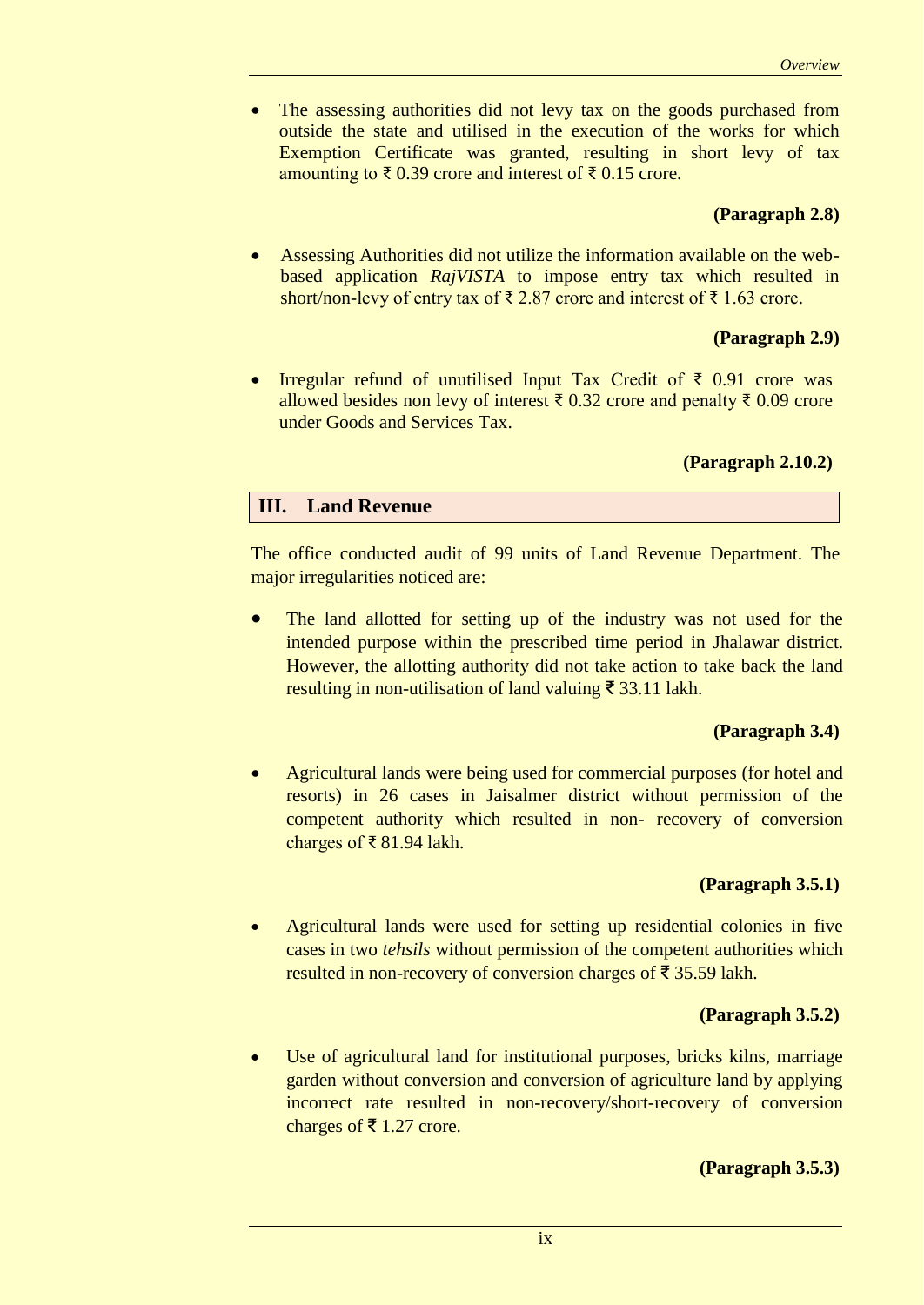The assessing authorities did not levy tax on the goods purchased from outside the state and utilised in the execution of the works for which Exemption Certificate was granted, resulting in short levy of tax amounting to ₹ 0.39 crore and interest of ₹ 0.15 crore.

#### **(Paragraph 2.8)**

 Assessing Authorities did not utilize the information available on the webbased application *RajVISTA* to impose entry tax which resulted in short/non-levy of entry tax of ₹ 2.87 crore and interest of ₹ 1.63 crore.

#### **(Paragraph 2.9)**

 Irregular refund of unutilised Input Tax Credit of ₹ 0.91 crore was allowed besides non levy of interest ₹ 0.32 crore and penalty ₹ 0.09 crore under Goods and Services Tax.

#### **(Paragraph 2.10.2)**

### **III. Land Revenue**

The office conducted audit of 99 units of Land Revenue Department. The major irregularities noticed are:

 The land allotted for setting up of the industry was not used for the intended purpose within the prescribed time period in Jhalawar district. However, the allotting authority did not take action to take back the land resulting in non-utilisation of land valuing ₹ 33.11 lakh.

#### **(Paragraph 3.4)**

 Agricultural lands were being used for commercial purposes (for hotel and resorts) in 26 cases in Jaisalmer district without permission of the competent authority which resulted in non- recovery of conversion charges of ₹ 81.94 lakh.

#### **(Paragraph 3.5.1)**

 Agricultural lands were used for setting up residential colonies in five cases in two *tehsils* without permission of the competent authorities which resulted in non-recovery of conversion charges of ₹ 35.59 lakh.

#### **(Paragraph 3.5.2)**

 Use of agricultural land for institutional purposes, bricks kilns, marriage garden without conversion and conversion of agriculture land by applying incorrect rate resulted in non-recovery/short-recovery of conversion charges of ₹ 1.27 crore.

#### **(Paragraph 3.5.3)**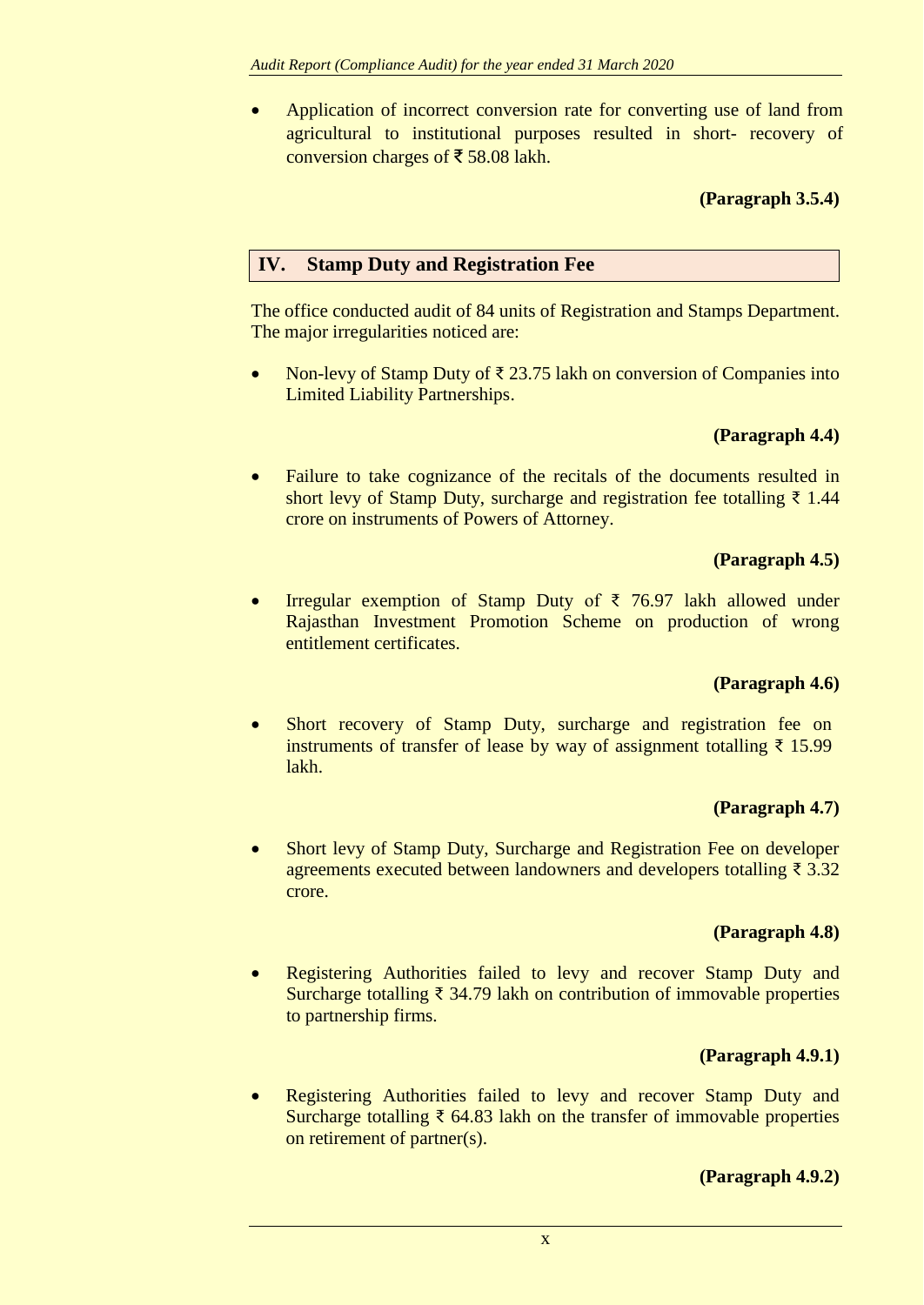Application of incorrect conversion rate for converting use of land from agricultural to institutional purposes resulted in short- recovery of conversion charges of ₹ 58.08 lakh.

### **(Paragraph 3.5.4)**

### **IV. Stamp Duty and Registration Fee**

The office conducted audit of 84 units of Registration and Stamps Department. The major irregularities noticed are:

Non-levy of Stamp Duty of ₹ 23.75 lakh on conversion of Companies into Limited Liability Partnerships.

### **(Paragraph 4.4)**

• Failure to take cognizance of the recitals of the documents resulted in short levy of Stamp Duty, surcharge and registration fee totalling  $\bar{\tau}$  1.44 crore on instruments of Powers of Attorney.

### **(Paragraph 4.5)**

 Irregular exemption of Stamp Duty of ₹ 76.97 lakh allowed under Rajasthan Investment Promotion Scheme on production of wrong entitlement certificates.

### **(Paragraph 4.6)**

• Short recovery of Stamp Duty, surcharge and registration fee on instruments of transfer of lease by way of assignment totalling ₹ 15.99 lakh.

### **(Paragraph 4.7)**

 Short levy of Stamp Duty, Surcharge and Registration Fee on developer agreements executed between landowners and developers totalling ₹ 3.32 crore.

#### **(Paragraph 4.8)**

• Registering Authorities failed to levy and recover Stamp Duty and Surcharge totalling  $\bar{\tau}$  34.79 lakh on contribution of immovable properties to partnership firms.

### **(Paragraph 4.9.1)**

 Registering Authorities failed to levy and recover Stamp Duty and Surcharge totalling ₹ 64.83 lakh on the transfer of immovable properties on retirement of partner(s).

### **(Paragraph 4.9.2)**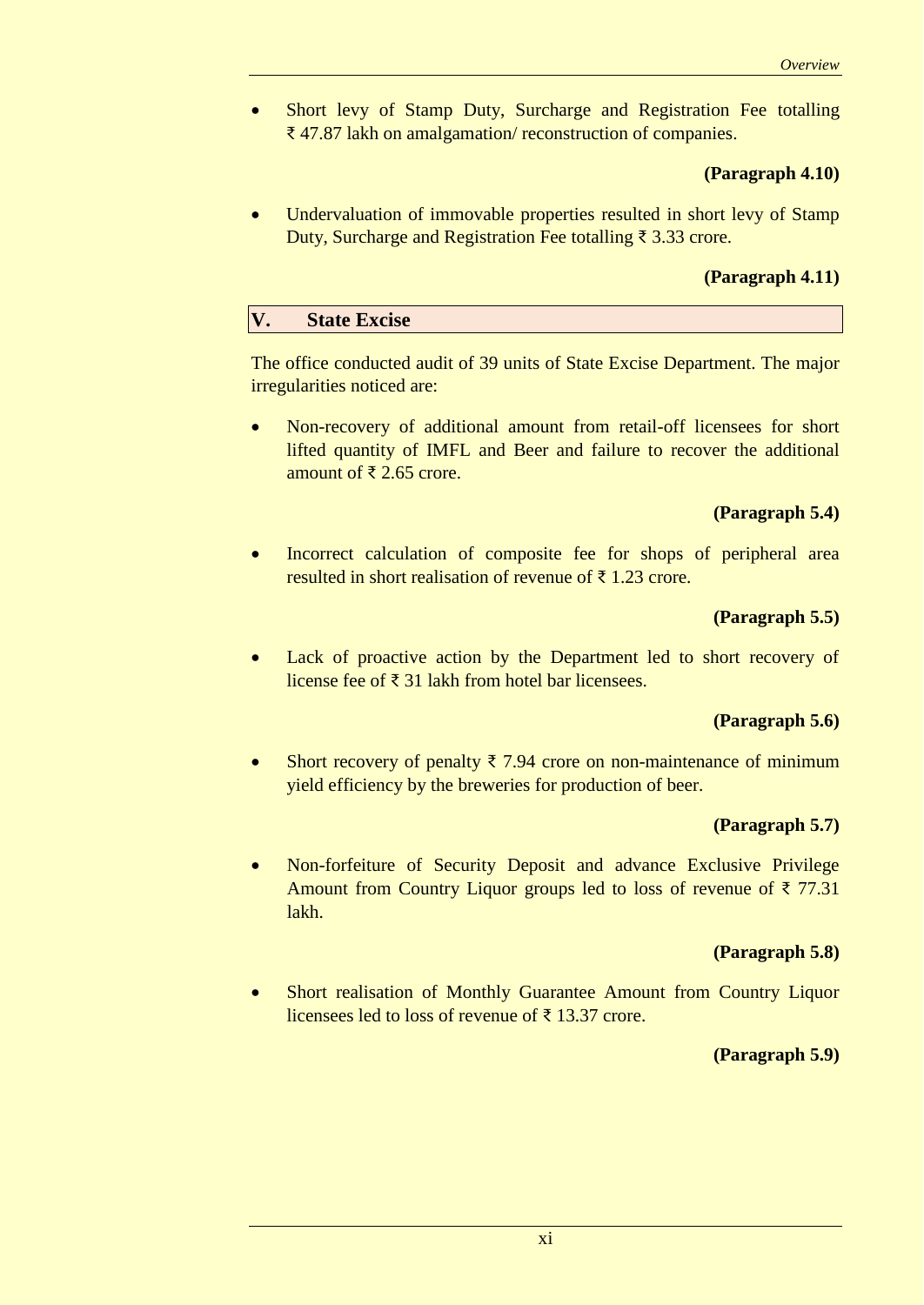Short levy of Stamp Duty, Surcharge and Registration Fee totalling ₹ 47.87 lakh on amalgamation/ reconstruction of companies.

#### **(Paragraph 4.10)**

• Undervaluation of immovable properties resulted in short levy of Stamp Duty, Surcharge and Registration Fee totalling ₹ 3.33 crore.

#### **(Paragraph 4.11)**

#### **V. State Excise**

The office conducted audit of 39 units of State Excise Department. The major irregularities noticed are:

 Non-recovery of additional amount from retail-off licensees for short lifted quantity of IMFL and Beer and failure to recover the additional amount of ₹ 2.65 crore.

#### **(Paragraph 5.4)**

 Incorrect calculation of composite fee for shops of peripheral area resulted in short realisation of revenue of ₹1.23 crore.

#### **(Paragraph 5.5)**

 Lack of proactive action by the Department led to short recovery of license fee of ₹ 31 lakh from hotel bar licensees.

#### **(Paragraph 5.6)**

Short recovery of penalty  $\bar{\tau}$  7.94 crore on non-maintenance of minimum yield efficiency by the breweries for production of beer.

#### **(Paragraph 5.7)**

• Non-forfeiture of Security Deposit and advance Exclusive Privilege Amount from Country Liquor groups led to loss of revenue of  $\bar{\tau}$  77.31 lakh.

#### **(Paragraph 5.8)**

 Short realisation of Monthly Guarantee Amount from Country Liquor licensees led to loss of revenue of ₹ 13.37 crore.

#### **(Paragraph 5.9)**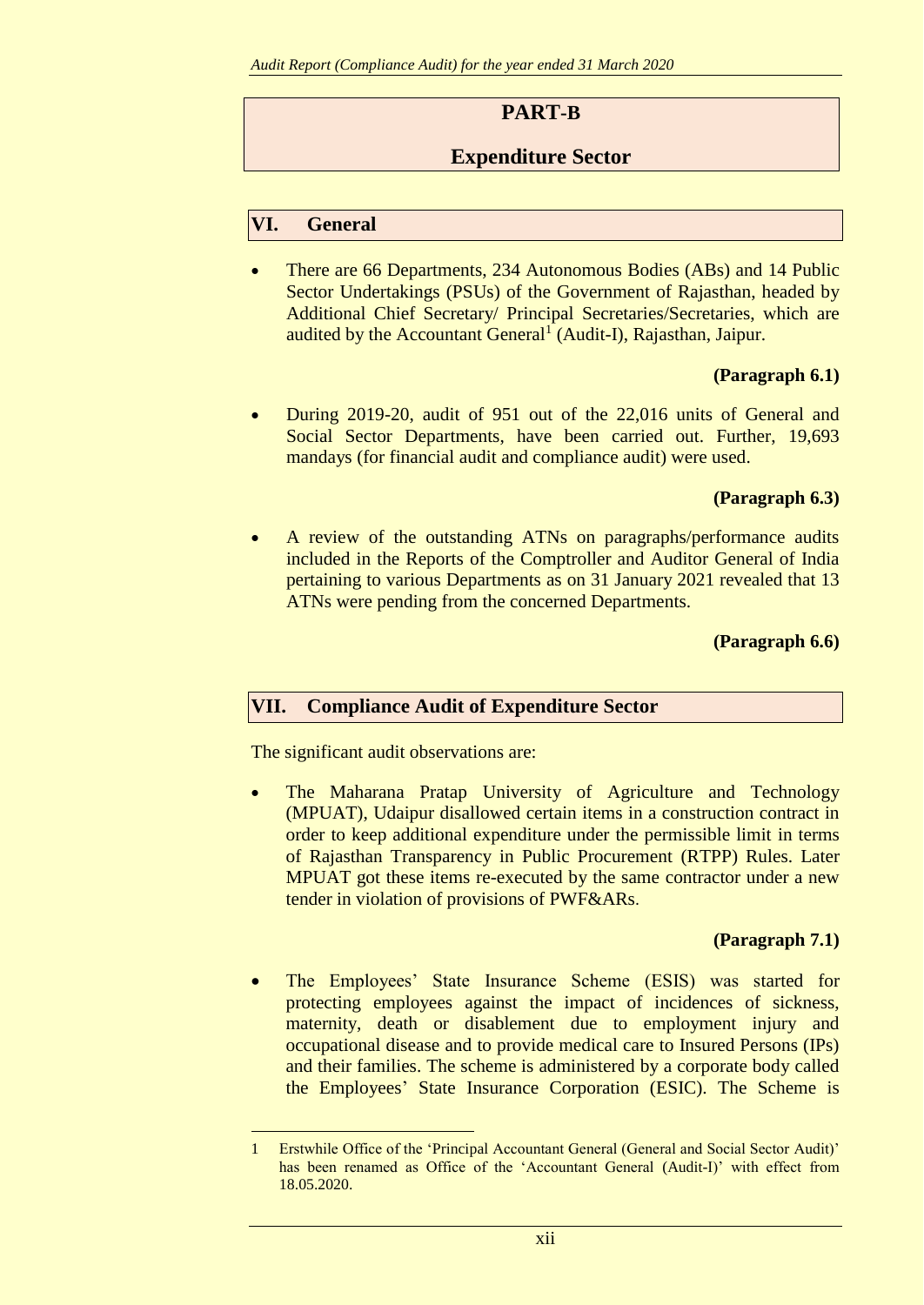# **PART-B**

# **Expenditure Sector**

## **VI. General**

 There are 66 Departments, 234 Autonomous Bodies (ABs) and 14 Public Sector Undertakings (PSUs) of the Government of Rajasthan, headed by Additional Chief Secretary/ Principal Secretaries/Secretaries, which are audited by the Accountant General<sup>1</sup> (Audit-I), Rajasthan, Jaipur.

### **(Paragraph 6.1)**

 During 2019-20, audit of 951 out of the 22,016 units of General and Social Sector Departments, have been carried out. Further, 19,693 mandays (for financial audit and compliance audit) were used.

### **(Paragraph 6.3)**

 A review of the outstanding ATNs on paragraphs/performance audits included in the Reports of the Comptroller and Auditor General of India pertaining to various Departments as on 31 January 2021 revealed that 13 ATNs were pending from the concerned Departments.

#### **(Paragraph 6.6)**

### **VII. Compliance Audit of Expenditure Sector**

The significant audit observations are:

1

 The Maharana Pratap University of Agriculture and Technology (MPUAT), Udaipur disallowed certain items in a construction contract in order to keep additional expenditure under the permissible limit in terms of Rajasthan Transparency in Public Procurement (RTPP) Rules. Later MPUAT got these items re-executed by the same contractor under a new tender in violation of provisions of PWF&ARs.

### **(Paragraph 7.1)**

 The Employees' State Insurance Scheme (ESIS) was started for protecting employees against the impact of incidences of sickness, maternity, death or disablement due to employment injury and occupational disease and to provide medical care to Insured Persons (IPs) and their families. The scheme is administered by a corporate body called the Employees' State Insurance Corporation (ESIC). The Scheme is

<sup>1</sup> Erstwhile Office of the 'Principal Accountant General (General and Social Sector Audit)' has been renamed as Office of the 'Accountant General (Audit-I)' with effect from 18.05.2020.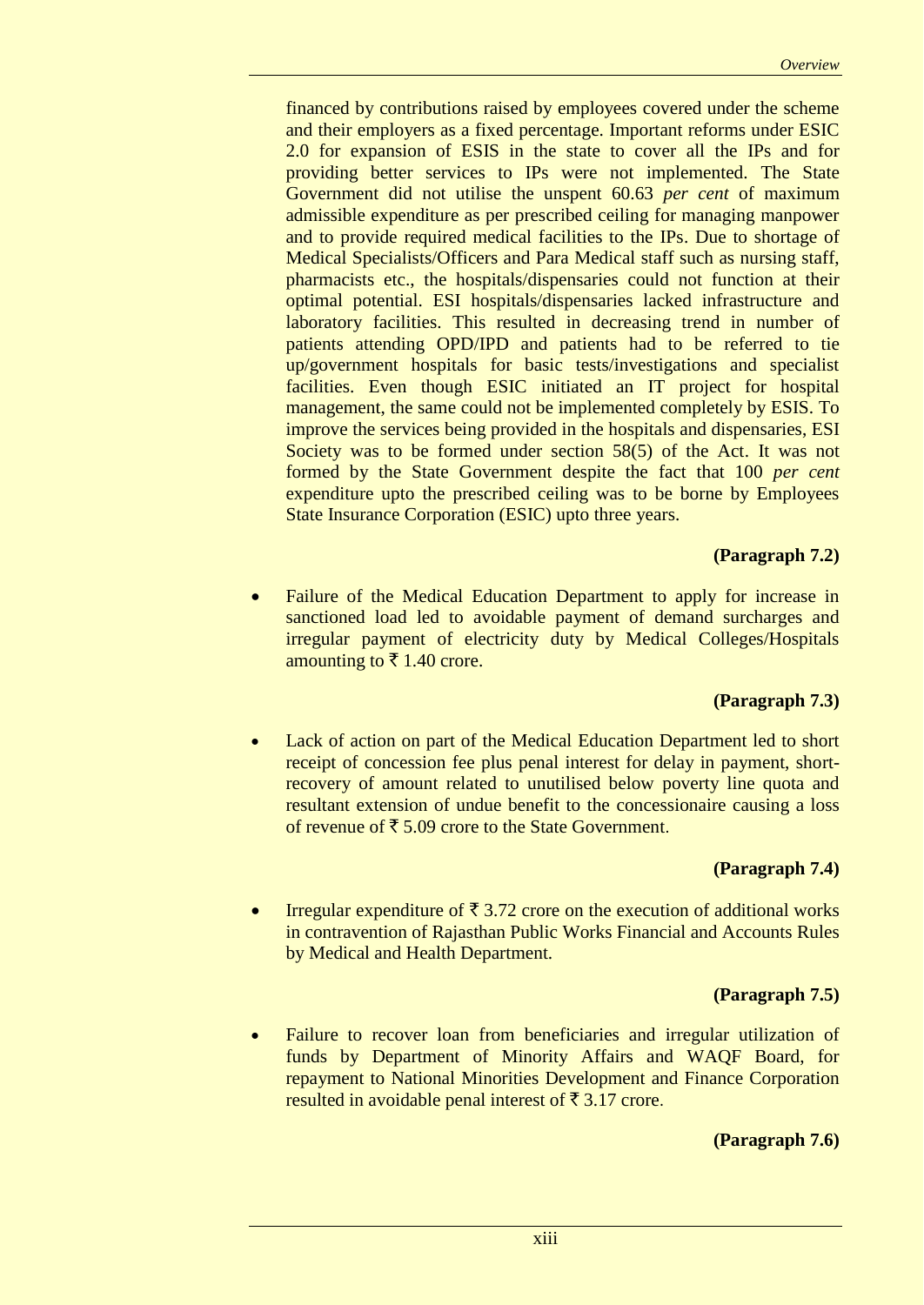financed by contributions raised by employees covered under the scheme and their employers as a fixed percentage. Important reforms under ESIC 2.0 for expansion of ESIS in the state to cover all the IPs and for providing better services to IPs were not implemented. The State Government did not utilise the unspent 60.63 *per cent* of maximum admissible expenditure as per prescribed ceiling for managing manpower and to provide required medical facilities to the IPs. Due to shortage of Medical Specialists/Officers and Para Medical staff such as nursing staff, pharmacists etc., the hospitals/dispensaries could not function at their optimal potential. ESI hospitals/dispensaries lacked infrastructure and laboratory facilities. This resulted in decreasing trend in number of patients attending OPD/IPD and patients had to be referred to tie up/government hospitals for basic tests/investigations and specialist facilities. Even though ESIC initiated an IT project for hospital management, the same could not be implemented completely by ESIS. To improve the services being provided in the hospitals and dispensaries, ESI Society was to be formed under section 58(5) of the Act. It was not formed by the State Government despite the fact that 100 *per cent* expenditure upto the prescribed ceiling was to be borne by Employees State Insurance Corporation (ESIC) upto three years.

#### **(Paragraph 7.2)**

 Failure of the Medical Education Department to apply for increase in sanctioned load led to avoidable payment of demand surcharges and irregular payment of electricity duty by Medical Colleges/Hospitals amounting to  $\bar{\tau}$  1.40 crore.

#### **(Paragraph 7.3)**

 Lack of action on part of the Medical Education Department led to short receipt of concession fee plus penal interest for delay in payment, shortrecovery of amount related to unutilised below poverty line quota and resultant extension of undue benefit to the concessionaire causing a loss of revenue of  $\bar{\xi}$  5.09 crore to the State Government.

#### **(Paragraph 7.4)**

Irregular expenditure of  $\bar{\tau}$  3.72 crore on the execution of additional works in contravention of Rajasthan Public Works Financial and Accounts Rules by Medical and Health Department.

### **(Paragraph 7.5)**

 Failure to recover loan from beneficiaries and irregular utilization of funds by Department of Minority Affairs and WAQF Board, for repayment to National Minorities Development and Finance Corporation resulted in avoidable penal interest of  $\bar{\tau}$  3.17 crore.

#### **(Paragraph 7.6)**